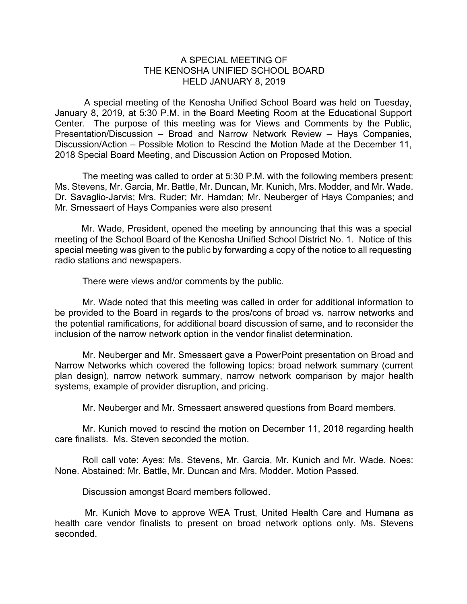## A SPECIAL MEETING OF THE KENOSHA UNIFIED SCHOOL BOARD HELD JANUARY 8, 2019

A special meeting of the Kenosha Unified School Board was held on Tuesday, January 8, 2019, at 5:30 P.M. in the Board Meeting Room at the Educational Support Center. The purpose of this meeting was for Views and Comments by the Public, Presentation/Discussion – Broad and Narrow Network Review – Hays Companies, Discussion/Action – Possible Motion to Rescind the Motion Made at the December 11, 2018 Special Board Meeting, and Discussion Action on Proposed Motion.

The meeting was called to order at 5:30 P.M. with the following members present: Ms. Stevens, Mr. Garcia, Mr. Battle, Mr. Duncan, Mr. Kunich, Mrs. Modder, and Mr. Wade. Dr. Savaglio-Jarvis; Mrs. Ruder; Mr. Hamdan; Mr. Neuberger of Hays Companies; and Mr. Smessaert of Hays Companies were also present

Mr. Wade, President, opened the meeting by announcing that this was a special meeting of the School Board of the Kenosha Unified School District No. 1. Notice of this special meeting was given to the public by forwarding a copy of the notice to all requesting radio stations and newspapers.

There were views and/or comments by the public.

Mr. Wade noted that this meeting was called in order for additional information to be provided to the Board in regards to the pros/cons of broad vs. narrow networks and the potential ramifications, for additional board discussion of same, and to reconsider the inclusion of the narrow network option in the vendor finalist determination.

Mr. Neuberger and Mr. Smessaert gave a PowerPoint presentation on Broad and Narrow Networks which covered the following topics: broad network summary (current plan design), narrow network summary, narrow network comparison by major health systems, example of provider disruption, and pricing.

Mr. Neuberger and Mr. Smessaert answered questions from Board members.

Mr. Kunich moved to rescind the motion on December 11, 2018 regarding health care finalists. Ms. Steven seconded the motion.

Roll call vote: Ayes: Ms. Stevens, Mr. Garcia, Mr. Kunich and Mr. Wade. Noes: None. Abstained: Mr. Battle, Mr. Duncan and Mrs. Modder. Motion Passed.

Discussion amongst Board members followed.

Mr. Kunich Move to approve WEA Trust, United Health Care and Humana as health care vendor finalists to present on broad network options only. Ms. Stevens seconded.